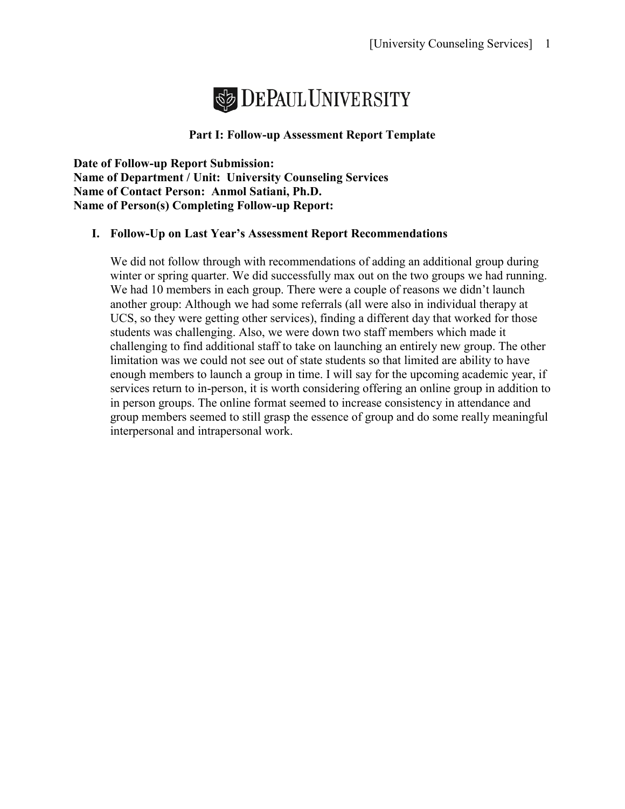

#### **Part I: Follow-up Assessment Report Template**

**Date of Follow-up Report Submission: Name of Department / Unit: University Counseling Services Name of Contact Person: Anmol Satiani, Ph.D. Name of Person(s) Completing Follow-up Report:** 

#### **I. Follow-Up on Last Year's Assessment Report Recommendations**

We did not follow through with recommendations of adding an additional group during winter or spring quarter. We did successfully max out on the two groups we had running. We had 10 members in each group. There were a couple of reasons we didn't launch another group: Although we had some referrals (all were also in individual therapy at UCS, so they were getting other services), finding a different day that worked for those students was challenging. Also, we were down two staff members which made it challenging to find additional staff to take on launching an entirely new group. The other limitation was we could not see out of state students so that limited are ability to have enough members to launch a group in time. I will say for the upcoming academic year, if services return to in-person, it is worth considering offering an online group in addition to in person groups. The online format seemed to increase consistency in attendance and group members seemed to still grasp the essence of group and do some really meaningful interpersonal and intrapersonal work.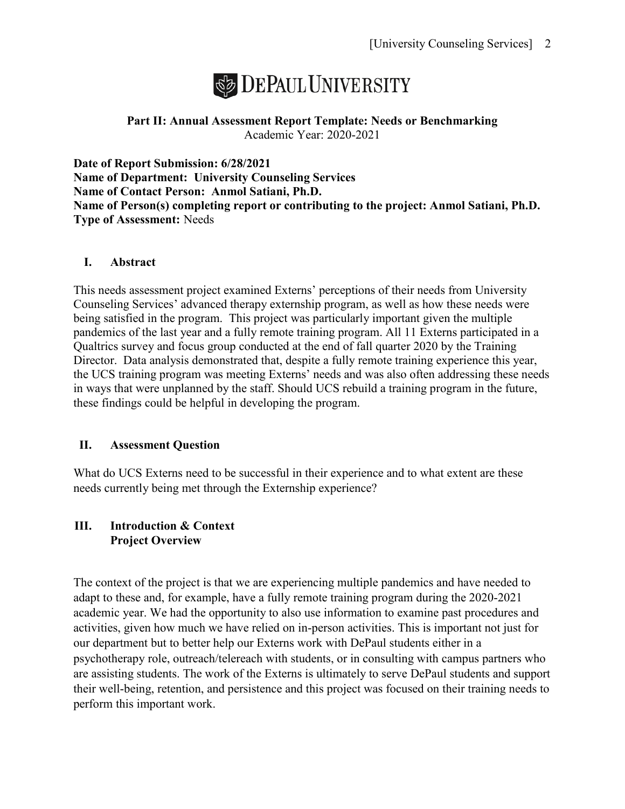

### **Part II: Annual Assessment Report Template: Needs or Benchmarking** Academic Year: 2020-2021

**Date of Report Submission: 6/28/2021 Name of Department: University Counseling Services Name of Contact Person: Anmol Satiani, Ph.D. Name of Person(s) completing report or contributing to the project: Anmol Satiani, Ph.D. Type of Assessment:** Needs

# **I. Abstract**

This needs assessment project examined Externs' perceptions of their needs from University Counseling Services' advanced therapy externship program, as well as how these needs were being satisfied in the program. This project was particularly important given the multiple pandemics of the last year and a fully remote training program. All 11 Externs participated in a Qualtrics survey and focus group conducted at the end of fall quarter 2020 by the Training Director. Data analysis demonstrated that, despite a fully remote training experience this year, the UCS training program was meeting Externs' needs and was also often addressing these needs in ways that were unplanned by the staff. Should UCS rebuild a training program in the future, these findings could be helpful in developing the program.

#### **II. Assessment Question**

What do UCS Externs need to be successful in their experience and to what extent are these needs currently being met through the Externship experience?

#### **III. Introduction & Context Project Overview**

The context of the project is that we are experiencing multiple pandemics and have needed to adapt to these and, for example, have a fully remote training program during the 2020-2021 academic year. We had the opportunity to also use information to examine past procedures and activities, given how much we have relied on in-person activities. This is important not just for our department but to better help our Externs work with DePaul students either in a psychotherapy role, outreach/telereach with students, or in consulting with campus partners who are assisting students. The work of the Externs is ultimately to serve DePaul students and support their well-being, retention, and persistence and this project was focused on their training needs to perform this important work.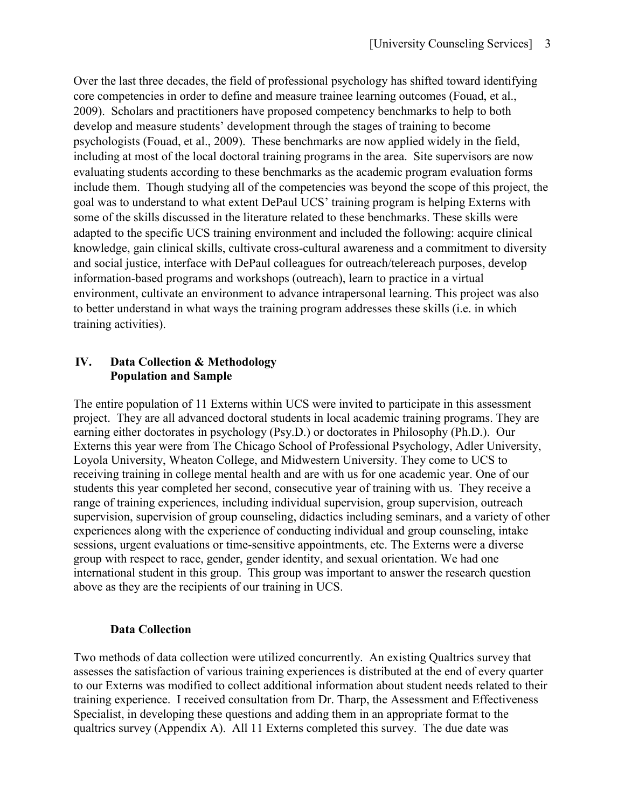Over the last three decades, the field of professional psychology has shifted toward identifying core competencies in order to define and measure trainee learning outcomes (Fouad, et al., 2009). Scholars and practitioners have proposed competency benchmarks to help to both develop and measure students' development through the stages of training to become psychologists (Fouad, et al., 2009). These benchmarks are now applied widely in the field, including at most of the local doctoral training programs in the area. Site supervisors are now evaluating students according to these benchmarks as the academic program evaluation forms include them. Though studying all of the competencies was beyond the scope of this project, the goal was to understand to what extent DePaul UCS' training program is helping Externs with some of the skills discussed in the literature related to these benchmarks. These skills were adapted to the specific UCS training environment and included the following: acquire clinical knowledge, gain clinical skills, cultivate cross-cultural awareness and a commitment to diversity and social justice, interface with DePaul colleagues for outreach/telereach purposes, develop information-based programs and workshops (outreach), learn to practice in a virtual environment, cultivate an environment to advance intrapersonal learning. This project was also to better understand in what ways the training program addresses these skills (i.e. in which training activities).

# **IV. Data Collection & Methodology Population and Sample**

The entire population of 11 Externs within UCS were invited to participate in this assessment project. They are all advanced doctoral students in local academic training programs. They are earning either doctorates in psychology (Psy.D.) or doctorates in Philosophy (Ph.D.). Our Externs this year were from The Chicago School of Professional Psychology, Adler University, Loyola University, Wheaton College, and Midwestern University. They come to UCS to receiving training in college mental health and are with us for one academic year. One of our students this year completed her second, consecutive year of training with us. They receive a range of training experiences, including individual supervision, group supervision, outreach supervision, supervision of group counseling, didactics including seminars, and a variety of other experiences along with the experience of conducting individual and group counseling, intake sessions, urgent evaluations or time-sensitive appointments, etc. The Externs were a diverse group with respect to race, gender, gender identity, and sexual orientation. We had one international student in this group. This group was important to answer the research question above as they are the recipients of our training in UCS.

# **Data Collection**

Two methods of data collection were utilized concurrently. An existing Qualtrics survey that assesses the satisfaction of various training experiences is distributed at the end of every quarter to our Externs was modified to collect additional information about student needs related to their training experience. I received consultation from Dr. Tharp, the Assessment and Effectiveness Specialist, in developing these questions and adding them in an appropriate format to the qualtrics survey (Appendix A).All 11 Externs completed this survey. The due date was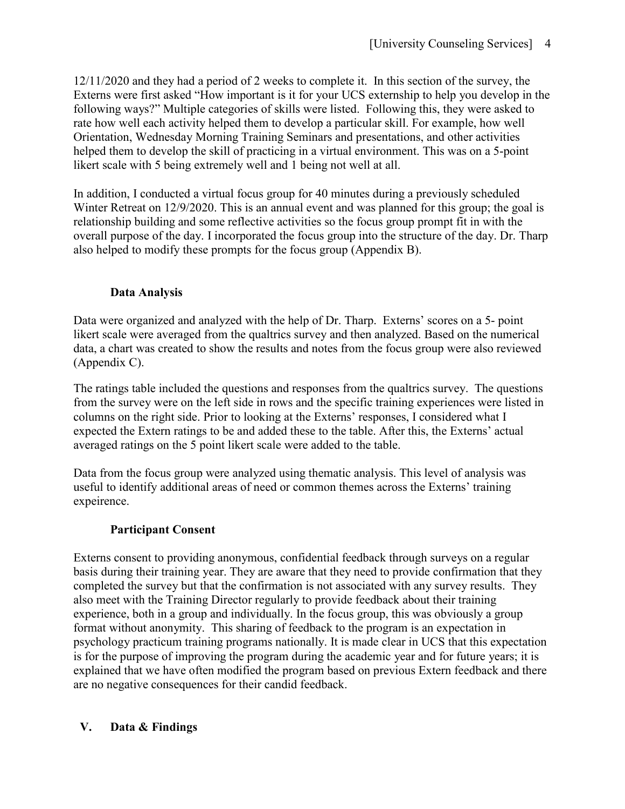12/11/2020 and they had a period of 2 weeks to complete it. In this section of the survey, the Externs were first asked "How important is it for your UCS externship to help you develop in the following ways?" Multiple categories of skills were listed. Following this, they were asked to rate how well each activity helped them to develop a particular skill. For example, how well Orientation, Wednesday Morning Training Seminars and presentations, and other activities helped them to develop the skill of practicing in a virtual environment. This was on a 5-point likert scale with 5 being extremely well and 1 being not well at all.

In addition, I conducted a virtual focus group for 40 minutes during a previously scheduled Winter Retreat on 12/9/2020. This is an annual event and was planned for this group; the goal is relationship building and some reflective activities so the focus group prompt fit in with the overall purpose of the day. I incorporated the focus group into the structure of the day. Dr. Tharp also helped to modify these prompts for the focus group (Appendix B).

# **Data Analysis**

Data were organized and analyzed with the help of Dr. Tharp. Externs' scores on a 5- point likert scale were averaged from the qualtrics survey and then analyzed. Based on the numerical data, a chart was created to show the results and notes from the focus group were also reviewed (Appendix C).

The ratings table included the questions and responses from the qualtrics survey. The questions from the survey were on the left side in rows and the specific training experiences were listed in columns on the right side. Prior to looking at the Externs' responses, I considered what I expected the Extern ratings to be and added these to the table. After this, the Externs' actual averaged ratings on the 5 point likert scale were added to the table.

Data from the focus group were analyzed using thematic analysis. This level of analysis was useful to identify additional areas of need or common themes across the Externs' training expeirence.

# **Participant Consent**

Externs consent to providing anonymous, confidential feedback through surveys on a regular basis during their training year. They are aware that they need to provide confirmation that they completed the survey but that the confirmation is not associated with any survey results. They also meet with the Training Director regularly to provide feedback about their training experience, both in a group and individually. In the focus group, this was obviously a group format without anonymity. This sharing of feedback to the program is an expectation in psychology practicum training programs nationally. It is made clear in UCS that this expectation is for the purpose of improving the program during the academic year and for future years; it is explained that we have often modified the program based on previous Extern feedback and there are no negative consequences for their candid feedback.

# **V. Data & Findings**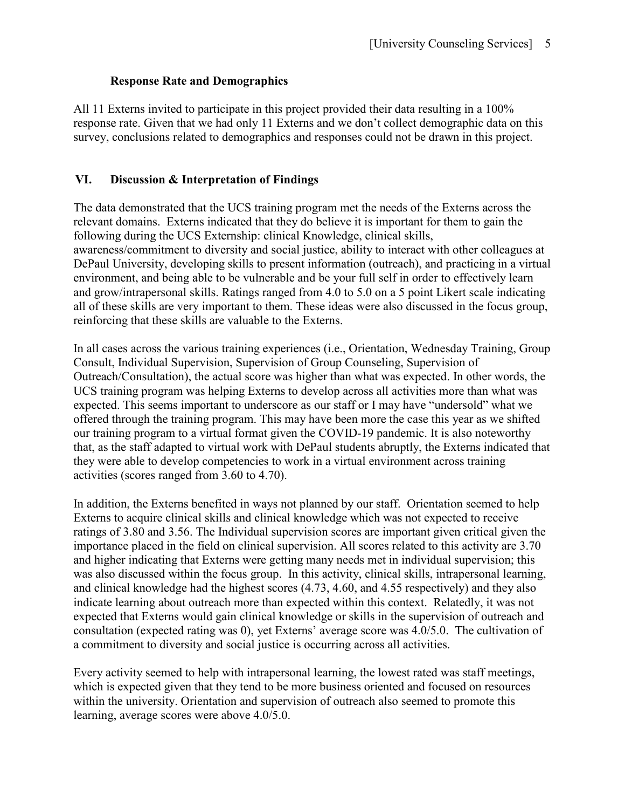#### **Response Rate and Demographics**

All 11 Externs invited to participate in this project provided their data resulting in a 100% response rate. Given that we had only 11 Externs and we don't collect demographic data on this survey, conclusions related to demographics and responses could not be drawn in this project.

#### **VI. Discussion & Interpretation of Findings**

The data demonstrated that the UCS training program met the needs of the Externs across the relevant domains. Externs indicated that they do believe it is important for them to gain the following during the UCS Externship: clinical Knowledge, clinical skills, awareness/commitment to diversity and social justice, ability to interact with other colleagues at DePaul University, developing skills to present information (outreach), and practicing in a virtual environment, and being able to be vulnerable and be your full self in order to effectively learn and grow/intrapersonal skills. Ratings ranged from 4.0 to 5.0 on a 5 point Likert scale indicating all of these skills are very important to them. These ideas were also discussed in the focus group, reinforcing that these skills are valuable to the Externs.

In all cases across the various training experiences (i.e., Orientation, Wednesday Training, Group Consult, Individual Supervision, Supervision of Group Counseling, Supervision of Outreach/Consultation), the actual score was higher than what was expected. In other words, the UCS training program was helping Externs to develop across all activities more than what was expected. This seems important to underscore as our staff or I may have "undersold" what we offered through the training program. This may have been more the case this year as we shifted our training program to a virtual format given the COVID-19 pandemic. It is also noteworthy that, as the staff adapted to virtual work with DePaul students abruptly, the Externs indicated that they were able to develop competencies to work in a virtual environment across training activities (scores ranged from 3.60 to 4.70).

In addition, the Externs benefited in ways not planned by our staff. Orientation seemed to help Externs to acquire clinical skills and clinical knowledge which was not expected to receive ratings of 3.80 and 3.56. The Individual supervision scores are important given critical given the importance placed in the field on clinical supervision. All scores related to this activity are 3.70 and higher indicating that Externs were getting many needs met in individual supervision; this was also discussed within the focus group. In this activity, clinical skills, intrapersonal learning, and clinical knowledge had the highest scores (4.73, 4.60, and 4.55 respectively) and they also indicate learning about outreach more than expected within this context. Relatedly, it was not expected that Externs would gain clinical knowledge or skills in the supervision of outreach and consultation (expected rating was 0), yet Externs' average score was 4.0/5.0. The cultivation of a commitment to diversity and social justice is occurring across all activities.

Every activity seemed to help with intrapersonal learning, the lowest rated was staff meetings, which is expected given that they tend to be more business oriented and focused on resources within the university. Orientation and supervision of outreach also seemed to promote this learning, average scores were above 4.0/5.0.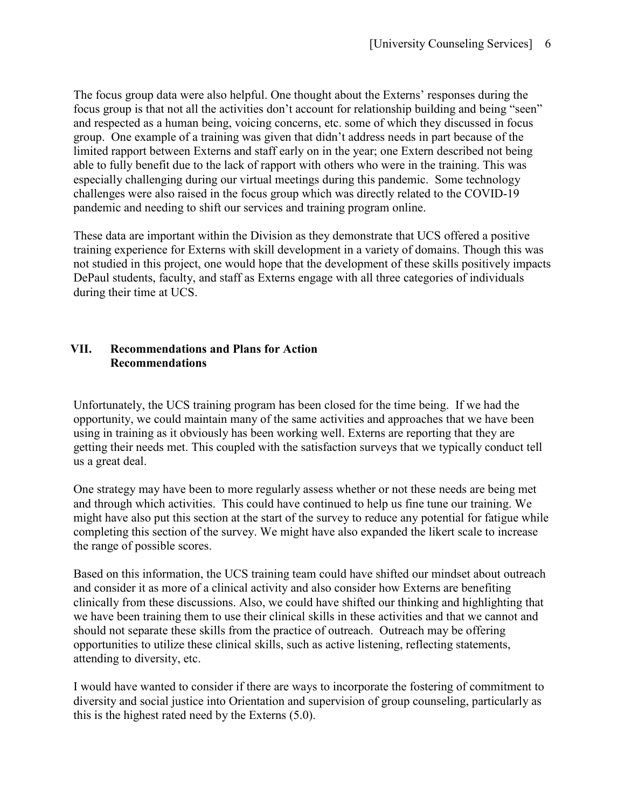The focus group data were also helpful. One thought about the Externs' responses during the focus group is that not all the activities don't account for relationship building and being "seen" and respected as a human being, voicing concerns, etc. some of which they discussed in focus group. One example of a training was given that didn't address needs in part because of the limited rapport between Externs and staff early on in the year; one Extern described not being able to fully benefit due to the lack of rapport with others who were in the training. This was especially challenging during our virtual meetings during this pandemic. Some technology challenges were also raised in the focus group which was directly related to the COVID-19 pandemic and needing to shift our services and training program online.

These data are important within the Division as they demonstrate that UCS offered a positive training experience for Externs with skill development in a variety of domains. Though this was not studied in this project, one would hope that the development of these skills positively impacts DePaul students, faculty, and staff as Externs engage with all three categories of individuals during their time at UCS.

# **VII. Recommendations and Plans for Action Recommendations**

Unfortunately, the UCS training program has been closed for the time being. If we had the opportunity, we could maintain many of the same activities and approaches that we have been using in training as it obviously has been working well. Externs are reporting that they are getting their needs met. This coupled with the satisfaction surveys that we typically conduct tell us a great deal.

One strategy may have been to more regularly assess whether or not these needs are being met and through which activities. This could have continued to help us fine tune our training. We might have also put this section at the start of the survey to reduce any potential for fatigue while completing this section of the survey. We might have also expanded the likert scale to increase the range of possible scores.

Based on this information, the UCS training team could have shifted our mindset about outreach and consider it as more of a clinical activity and also consider how Externs are benefiting clinically from these discussions. Also, we could have shifted our thinking and highlighting that we have been training them to use their clinical skills in these activities and that we cannot and should not separate these skills from the practice of outreach. Outreach may be offering opportunities to utilize these clinical skills, such as active listening, reflecting statements, attending to diversity, etc.

I would have wanted to consider if there are ways to incorporate the fostering of commitment to diversity and social justice into Orientation and supervision of group counseling, particularly as this is the highest rated need by the Externs (5.0).